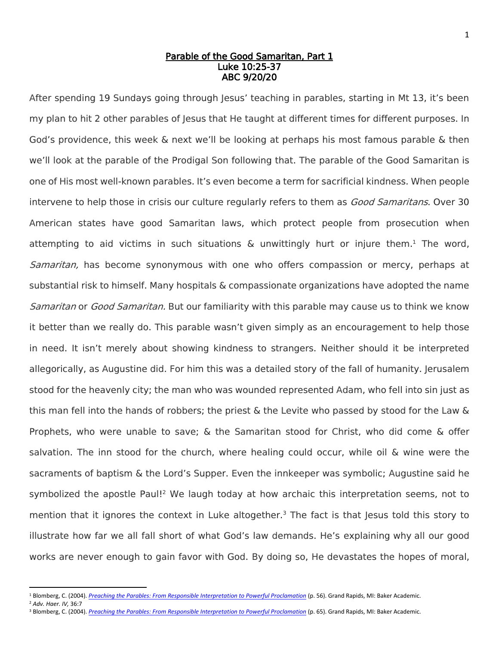### Parable of the Good Samaritan, Part 1 Luke 10:25-37 ABC 9/20/20

After spending 19 Sundays going through Jesus' teaching in parables, starting in Mt 13, it's been my plan to hit 2 other parables of Jesus that He taught at different times for different purposes. In God's providence, this week & next we'll be looking at perhaps his most famous parable & then we'll look at the parable of the Prodigal Son following that. The parable of the Good Samaritan is one of His most well-known parables. It's even become a term for sacrificial kindness. When people intervene to help those in crisis our culture regularly refers to them as *Good Samaritans*. Over 30 American states have good Samaritan laws, which protect people from prosecution when attempting to aid victims in such situations & unwittingly hurt or injure them. <sup>1</sup> The word, Samaritan, has become synonymous with one who offers compassion or mercy, perhaps at substantial risk to himself. Many hospitals & compassionate organizations have adopted the name Samaritan or Good Samaritan. But our familiarity with this parable may cause us to think we know it better than we really do. This parable wasn't given simply as an encouragement to help those in need. It isn't merely about showing kindness to strangers. Neither should it be interpreted allegorically, as Augustine did. For him this was a detailed story of the fall of humanity. Jerusalem stood for the heavenly city; the man who was wounded represented Adam, who fell into sin just as this man fell into the hands of robbers; the priest & the Levite who passed by stood for the Law & Prophets, who were unable to save; & the Samaritan stood for Christ, who did come & offer salvation. The inn stood for the church, where healing could occur, while oil & wine were the sacraments of baptism & the Lord's Supper. Even the innkeeper was symbolic; Augustine said he symbolized the apostle Paul!<sup>2</sup> We laugh today at how archaic this interpretation seems, not to mention that it ignores the context in Luke altogether.<sup>3</sup> The fact is that Jesus told this story to illustrate how far we all fall short of what God's law demands. He's explaining why all our good works are never enough to gain favor with God. By doing so, He devastates the hopes of moral,

<sup>2</sup> *Adv. Haer. IV,* 36:7

 $\overline{a}$ 

<sup>1</sup> Blomberg, C. (2004). *[Preaching the Parables: From Responsible Interpretation to Powerful Proclamation](https://ref.ly/logosres/preachpara?ref=Page.p+56&off=950&ctx=med+Good+Samaritan.+~The+very+word+%E2%80%9CSamar)* (p. 56). Grand Rapids, MI: Baker Academic.

<sup>&</sup>lt;sup>3</sup> Blomberg, C. (2004). *[Preaching the Parables: From Responsible Interpretation to Powerful Proclamation](https://ref.ly/logosres/preachpara?ref=Page.p+56&off=950&ctx=med+Good+Samaritan.+~The+very+word+%E2%80%9CSamar)* (p. 65). Grand Rapids, MI: Baker Academic.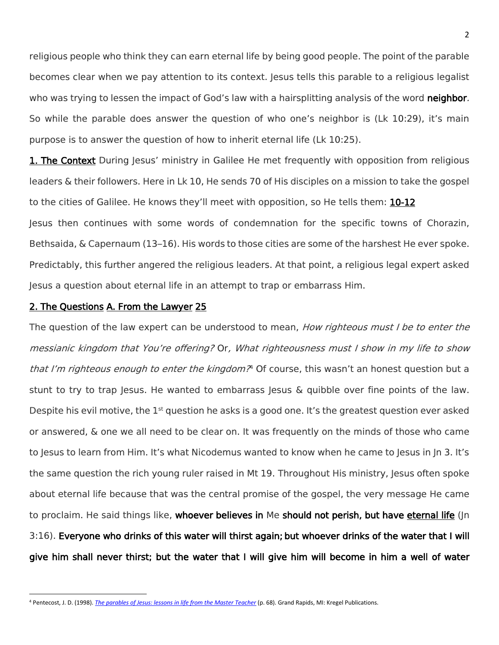religious people who think they can earn eternal life by being good people. The point of the parable becomes clear when we pay attention to its context. Jesus tells this parable to a religious legalist who was trying to lessen the impact of God's law with a hairsplitting analysis of the word neighbor. So while the parable does answer the question of who one's neighbor is (Lk 10:29), it's main purpose is to answer the question of how to inherit eternal life (Lk 10:25).

1. The Context During Jesus' ministry in Galilee He met frequently with opposition from religious leaders & their followers. Here in Lk 10, He sends 70 of His disciples on a mission to take the gospel to the cities of Galilee. He knows they'll meet with opposition, so He tells them: 10-12 Jesus then continues with some words of condemnation for the specific towns of Chorazin, Bethsaida, & Capernaum (13–16). His words to those cities are some of the harshest He ever spoke. Predictably, this further angered the religious leaders. At that point, a religious legal expert asked Jesus a question about eternal life in an attempt to trap or embarrass Him.

### 2. The Questions A. From the Lawyer 25

 $\overline{\phantom{a}}$ 

The question of the law expert can be understood to mean, *How righteous must I be to enter the* messianic kingdom that You're offering? Or, What righteousness must I show in my life to show that I'm righteous enough to enter the kingdom?<sup>4</sup> Of course, this wasn't an honest question but a stunt to try to trap Jesus. He wanted to embarrass Jesus & quibble over fine points of the law. Despite his evil motive, the 1<sup>st</sup> question he asks is a good one. It's the greatest question ever asked or answered, & one we all need to be clear on. It was frequently on the minds of those who came to Jesus to learn from Him. It's what Nicodemus wanted to know when he came to Jesus in Jn 3. It's the same question the rich young ruler raised in Mt 19. Throughout His ministry, Jesus often spoke about eternal life because that was the central promise of the gospel, the very message He came to proclaim. He said things like, whoever believes in Me should not perish, but have eternal life (Jn 3:16). Everyone who drinks of this water will thirst again; but whoever drinks of the water that I will give him shall never thirst; but the water that I will give him will become in him a well of water

<sup>4</sup> Pentecost, J. D. (1998). *[The parables of Jesus: lessons in life from the Master Teacher](https://ref.ly/logosres/jdpprbjes?ref=Page.p+68&off=1325&ctx=+into+eternal+life.%0a~The+question+of+the+)* (p. 68). Grand Rapids, MI: Kregel Publications.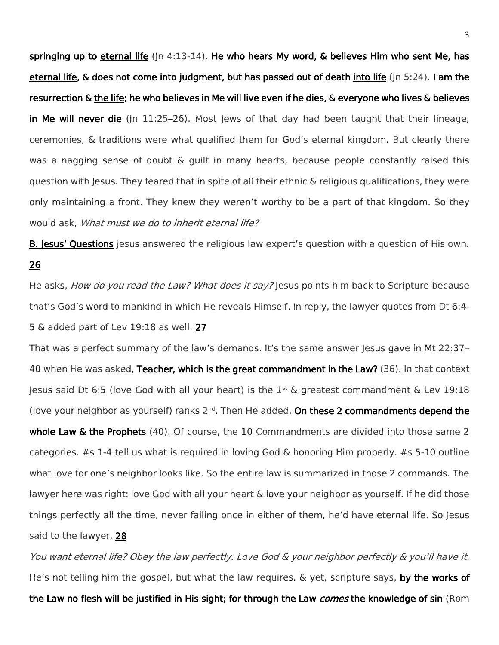springing up to eternal life ( $\ln 4:13$ -14). He who hears My word, & believes Him who sent Me, has eternal life, & does not come into judgment, but has passed out of death into life (Jn 5:24). I am the resurrection & the life; he who believes in Me will live even if he dies, & everyone who lives & believes in Me will never die ( $|n \ 11:25-26$ ). Most Jews of that day had been taught that their lineage, ceremonies, & traditions were what qualified them for God's eternal kingdom. But clearly there was a nagging sense of doubt & guilt in many hearts, because people constantly raised this question with Jesus. They feared that in spite of all their ethnic & religious qualifications, they were only maintaining a front. They knew they weren't worthy to be a part of that kingdom. So they would ask, What must we do to inherit eternal life?

**B. Jesus' Questions** Jesus answered the religious law expert's question with a question of His own. 26

He asks, *How do you read the Law? What does it say?* Jesus points him back to Scripture because that's God's word to mankind in which He reveals Himself. In reply, the lawyer quotes from Dt 6:4- 5 & added part of Lev 19:18 as well. 27

That was a perfect summary of the law's demands. It's the same answer Jesus gave in Mt 22:37– 40 when He was asked, Teacher, which is the great commandment in the Law? (36). In that context Jesus said Dt 6:5 (love God with all your heart) is the  $1<sup>st</sup>$  & greatest commandment & Lev 19:18 (love your neighbor as yourself) ranks  $2^{nd}$ . Then He added, On these 2 commandments depend the whole Law & the Prophets (40). Of course, the 10 Commandments are divided into those same 2 categories. #s 1-4 tell us what is required in loving God & honoring Him properly. #s 5-10 outline what love for one's neighbor looks like. So the entire law is summarized in those 2 commands. The lawyer here was right: love God with all your heart & love your neighbor as yourself. If he did those things perfectly all the time, never failing once in either of them, he'd have eternal life. So Jesus said to the lawyer, 28

You want eternal life? Obey the law perfectly. Love God & your neighbor perfectly & you'll have it. He's not telling him the gospel, but what the law requires.  $\&$  yet, scripture says, by the works of the Law no flesh will be justified in His sight; for through the Law *comes* the knowledge of sin (Rom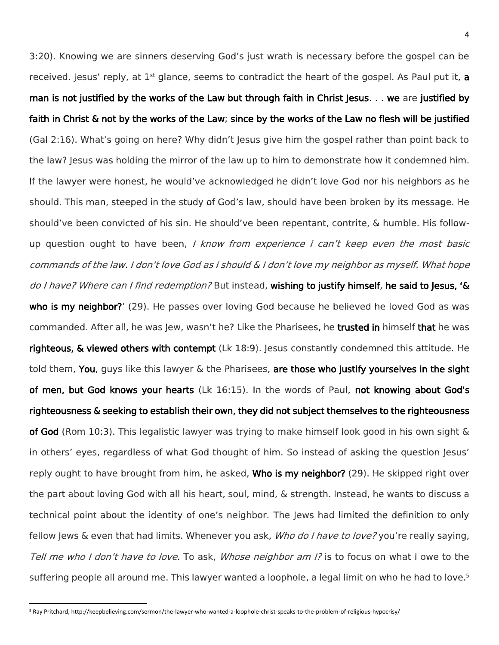3:20). Knowing we are sinners deserving God's just wrath is necessary before the gospel can be received. Jesus' reply, at  $1^{st}$  glance, seems to contradict the heart of the gospel. As Paul put it, a man is not justified by the works of the Law but through faith in Christ Jesus. . . we are justified by faith in Christ & not by the works of the Law; since by the works of the Law no flesh will be justified (Gal 2:16). What's going on here? Why didn't Jesus give him the gospel rather than point back to the law? Jesus was holding the mirror of the law up to him to demonstrate how it condemned him. If the lawyer were honest, he would've acknowledged he didn't love God nor his neighbors as he should. This man, steeped in the study of God's law, should have been broken by its message. He should've been convicted of his sin. He should've been repentant, contrite, & humble. His followup question ought to have been, I know from experience I can't keep even the most basic commands of the law. I don't love God as I should & I don't love my neighbor as myself. What hope do I have? Where can I find redemption? But instead, wishing to justify himself, he said to Jesus, '& who is my neighbor?' (29). He passes over loving God because he believed he loved God as was commanded. After all, he was Jew, wasn't he? Like the Pharisees, he trusted in himself that he was righteous, & viewed others with contempt (Lk 18:9). Jesus constantly condemned this attitude. He told them, You, guys like this lawyer & the Pharisees, are those who justify yourselves in the sight of men, but God knows your hearts (Lk 16:15). In the words of Paul, not knowing about God's righteousness & seeking to establish their own, they did not subject themselves to the righteousness of God (Rom 10:3). This legalistic lawyer was trying to make himself look good in his own sight & in others' eyes, regardless of what God thought of him. So instead of asking the question Jesus' reply ought to have brought from him, he asked, **Who is my neighbor?** (29). He skipped right over the part about loving God with all his heart, soul, mind, & strength. Instead, he wants to discuss a technical point about the identity of one's neighbor. The Jews had limited the definition to only fellow Jews & even that had limits. Whenever you ask, *Who do I have to love?* you're really saying, Tell me who I don't have to love. To ask, *Whose neighbor am I?* is to focus on what I owe to the suffering people all around me. This lawyer wanted a loophole, a legal limit on who he had to love.<sup>5</sup>

l

<sup>5</sup> Ray Pritchard, http://keepbelieving.com/sermon/the-lawyer-who-wanted-a-loophole-christ-speaks-to-the-problem-of-religious-hypocrisy/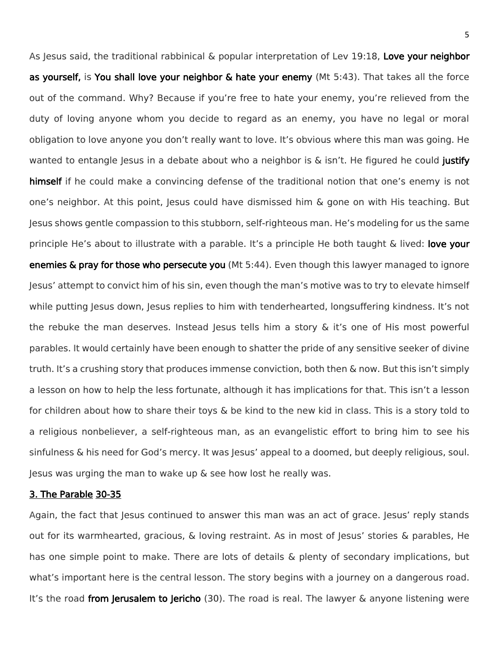As Jesus said, the traditional rabbinical & popular interpretation of Lev 19:18, Love your neighbor as yourself, is You shall love your neighbor & hate your enemy (Mt 5:43). That takes all the force out of the command. Why? Because if you're free to hate your enemy, you're relieved from the duty of loving anyone whom you decide to regard as an enemy, you have no legal or moral obligation to love anyone you don't really want to love. It's obvious where this man was going. He wanted to entangle Jesus in a debate about who a neighbor is  $\&$  isn't. He figured he could justify himself if he could make a convincing defense of the traditional notion that one's enemy is not one's neighbor. At this point, Jesus could have dismissed him & gone on with His teaching. But Jesus shows gentle compassion to this stubborn, self-righteous man. He's modeling for us the same principle He's about to illustrate with a parable. It's a principle He both taught  $\&$  lived: love your enemies & pray for those who persecute you (Mt 5:44). Even though this lawyer managed to ignore Jesus' attempt to convict him of his sin, even though the man's motive was to try to elevate himself while putting Jesus down, Jesus replies to him with tenderhearted, longsuffering kindness. It's not the rebuke the man deserves. Instead Jesus tells him a story  $\&$  it's one of His most powerful parables. It would certainly have been enough to shatter the pride of any sensitive seeker of divine truth. It's a crushing story that produces immense conviction, both then & now. But this isn't simply a lesson on how to help the less fortunate, although it has implications for that. This isn't a lesson for children about how to share their toys & be kind to the new kid in class. This is a story told to a religious nonbeliever, a self-righteous man, as an evangelistic effort to bring him to see his sinfulness & his need for God's mercy. It was Jesus' appeal to a doomed, but deeply religious, soul. Jesus was urging the man to wake up & see how lost he really was.

#### 3. The Parable 30-35

Again, the fact that Jesus continued to answer this man was an act of grace. Jesus' reply stands out for its warmhearted, gracious, & loving restraint. As in most of Jesus' stories & parables, He has one simple point to make. There are lots of details & plenty of secondary implications, but what's important here is the central lesson. The story begins with a journey on a dangerous road. It's the road from Jerusalem to Jericho (30). The road is real. The lawyer  $\&$  anyone listening were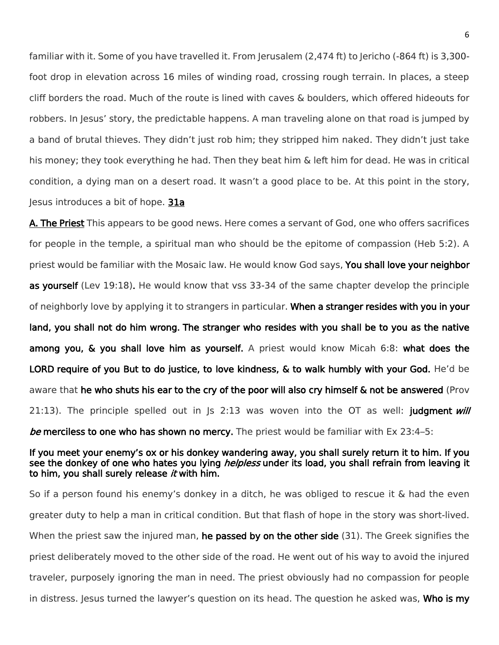familiar with it. Some of you have travelled it. From Jerusalem (2,474 ft) to Jericho (-864 ft) is 3,300foot drop in elevation across 16 miles of winding road, crossing rough terrain. In places, a steep cliff borders the road. Much of the route is lined with caves & boulders, which offered hideouts for robbers. In Jesus' story, the predictable happens. A man traveling alone on that road is jumped by a band of brutal thieves. They didn't just rob him; they stripped him naked. They didn't just take his money; they took everything he had. Then they beat him & left him for dead. He was in critical condition, a dying man on a desert road. It wasn't a good place to be. At this point in the story, Jesus introduces a bit of hope. 31a

A. The Priest This appears to be good news. Here comes a servant of God, one who offers sacrifices for people in the temple, a spiritual man who should be the epitome of compassion (Heb 5:2). A priest would be familiar with the Mosaic law. He would know God says, You shall love your neighbor as yourself (Lev 19:18). He would know that vss 33-34 of the same chapter develop the principle of neighborly love by applying it to strangers in particular. When a stranger resides with you in your land, you shall not do him wrong. The stranger who resides with you shall be to you as the native among you, & you shall love him as yourself. A priest would know Micah 6:8: what does the LORD require of you But to do justice, to love kindness, & to walk humbly with your God. He'd be aware that he who shuts his ear to the cry of the poor will also cry himself & not be answered (Prov 21:13). The principle spelled out in  $|s \t2:13$  was woven into the OT as well: judgment *will* be merciless to one who has shown no mercy. The priest would be familiar with Ex 23:4–5:

## If you meet your enemy's ox or his donkey wandering away, you shall surely return it to him. If you see the donkey of one who hates you lying *helpless* under its load, you shall refrain from leaving it to him, you shall surely release  $it$  with him.

So if a person found his enemy's donkey in a ditch, he was obliged to rescue it & had the even greater duty to help a man in critical condition. But that flash of hope in the story was short-lived. When the priest saw the injured man, **he passed by on the other side** (31). The Greek signifies the priest deliberately moved to the other side of the road. He went out of his way to avoid the injured traveler, purposely ignoring the man in need. The priest obviously had no compassion for people in distress. Jesus turned the lawyer's question on its head. The question he asked was, **Who is my**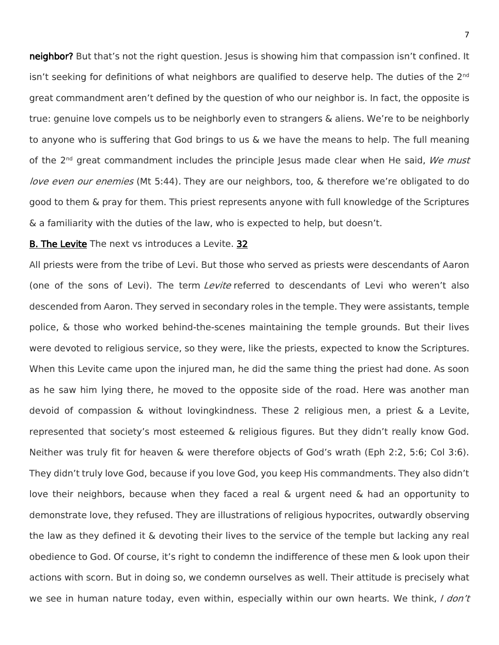neighbor? But that's not the right question. Jesus is showing him that compassion isn't confined. It isn't seeking for definitions of what neighbors are qualified to deserve help. The duties of the 2<sup>nd</sup> great commandment aren't defined by the question of who our neighbor is. In fact, the opposite is true: genuine love compels us to be neighborly even to strangers & aliens. We're to be neighborly to anyone who is suffering that God brings to us & we have the means to help. The full meaning of the  $2^{nd}$  great commandment includes the principle Jesus made clear when He said, We must love even our enemies (Mt 5:44). They are our neighbors, too, & therefore we're obligated to do good to them & pray for them. This priest represents anyone with full knowledge of the Scriptures & a familiarity with the duties of the law, who is expected to help, but doesn't.

# B. The Levite The next vs introduces a Levite. 32

All priests were from the tribe of Levi. But those who served as priests were descendants of Aaron (one of the sons of Levi). The term *Levite* referred to descendants of Levi who weren't also descended from Aaron. They served in secondary roles in the temple. They were assistants, temple police, & those who worked behind-the-scenes maintaining the temple grounds. But their lives were devoted to religious service, so they were, like the priests, expected to know the Scriptures. When this Levite came upon the injured man, he did the same thing the priest had done. As soon as he saw him lying there, he moved to the opposite side of the road. Here was another man devoid of compassion & without lovingkindness. These 2 religious men, a priest & a Levite, represented that society's most esteemed & religious figures. But they didn't really know God. Neither was truly fit for heaven & were therefore objects of God's wrath (Eph 2:2, 5:6; Col 3:6). They didn't truly love God, because if you love God, you keep His commandments. They also didn't love their neighbors, because when they faced a real & urgent need & had an opportunity to demonstrate love, they refused. They are illustrations of religious hypocrites, outwardly observing the law as they defined it & devoting their lives to the service of the temple but lacking any real obedience to God. Of course, it's right to condemn the indifference of these men & look upon their actions with scorn. But in doing so, we condemn ourselves as well. Their attitude is precisely what we see in human nature today, even within, especially within our own hearts. We think, I don't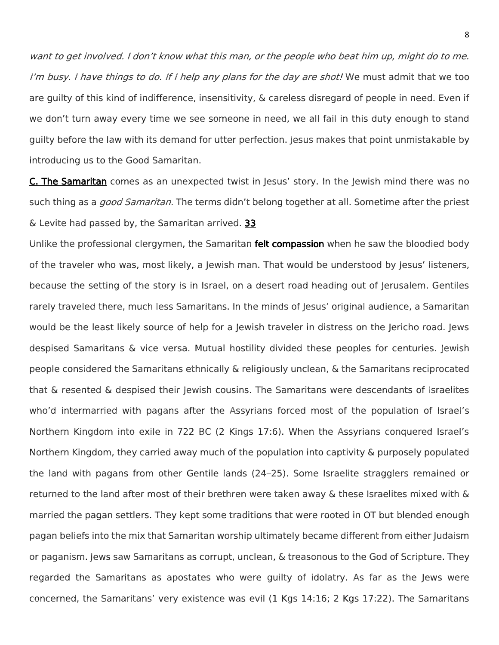want to get involved. I don't know what this man, or the people who beat him up, might do to me. I'm busy. I have things to do. If I help any plans for the day are shot! We must admit that we too are guilty of this kind of indifference, insensitivity, & careless disregard of people in need. Even if we don't turn away every time we see someone in need, we all fail in this duty enough to stand guilty before the law with its demand for utter perfection. Jesus makes that point unmistakable by introducing us to the Good Samaritan.

**C. The Samaritan** comes as an unexpected twist in Jesus' story. In the Jewish mind there was no such thing as a *good Samaritan.* The terms didn't belong together at all. Sometime after the priest & Levite had passed by, the Samaritan arrived. 33

Unlike the professional clergymen, the Samaritan **felt compassion** when he saw the bloodied body of the traveler who was, most likely, a Jewish man. That would be understood by Jesus' listeners, because the setting of the story is in Israel, on a desert road heading out of Jerusalem. Gentiles rarely traveled there, much less Samaritans. In the minds of Jesus' original audience, a Samaritan would be the least likely source of help for a Jewish traveler in distress on the Jericho road. Jews despised Samaritans & vice versa. Mutual hostility divided these peoples for centuries. Jewish people considered the Samaritans ethnically & religiously unclean, & the Samaritans reciprocated that & resented & despised their Jewish cousins. The Samaritans were descendants of Israelites who'd intermarried with pagans after the Assyrians forced most of the population of Israel's Northern Kingdom into exile in 722 BC (2 Kings 17:6). When the Assyrians conquered Israel's Northern Kingdom, they carried away much of the population into captivity & purposely populated the land with pagans from other Gentile lands (24–25). Some Israelite stragglers remained or returned to the land after most of their brethren were taken away & these Israelites mixed with & married the pagan settlers. They kept some traditions that were rooted in OT but blended enough pagan beliefs into the mix that Samaritan worship ultimately became different from either Judaism or paganism. Jews saw Samaritans as corrupt, unclean, & treasonous to the God of Scripture. They regarded the Samaritans as apostates who were guilty of idolatry. As far as the Jews were concerned, the Samaritans' very existence was evil (1 Kgs 14:16; 2 Kgs 17:22). The Samaritans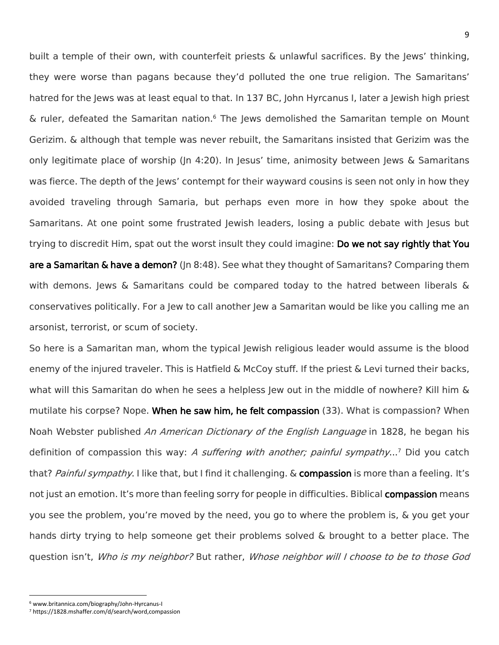built a temple of their own, with counterfeit priests & unlawful sacrifices. By the Jews' thinking, they were worse than pagans because they'd polluted the one true religion. The Samaritans' hatred for the Jews was at least equal to that. In 137 BC, John Hyrcanus I, later a Jewish high priest & ruler, defeated the Samaritan nation.<sup>6</sup> The Jews demolished the Samaritan temple on Mount Gerizim. & although that temple was never rebuilt, the Samaritans insisted that Gerizim was the only legitimate place of worship (Jn 4:20). In Jesus' time, animosity between Jews & Samaritans was fierce. The depth of the Jews' contempt for their wayward cousins is seen not only in how they avoided traveling through Samaria, but perhaps even more in how they spoke about the Samaritans. At one point some frustrated Jewish leaders, losing a public debate with Jesus but trying to discredit Him, spat out the worst insult they could imagine: Do we not say rightly that You are a Samaritan & have a demon? (In 8:48). See what they thought of Samaritans? Comparing them with demons. Jews  $\&$  Samaritans could be compared today to the hatred between liberals  $\&$ conservatives politically. For a Jew to call another Jew a Samaritan would be like you calling me an arsonist, terrorist, or scum of society.

So here is a Samaritan man, whom the typical Jewish religious leader would assume is the blood enemy of the injured traveler. This is Hatfield & McCoy stuff. If the priest & Levi turned their backs, what will this Samaritan do when he sees a helpless Jew out in the middle of nowhere? Kill him & mutilate his corpse? Nope. When he saw him, he felt compassion (33). What is compassion? When Noah Webster published An American Dictionary of the English Language in 1828, he began his definition of compassion this way: *A suffering with another; painful sympathy*...<sup>7</sup> Did you catch that? Painful sympathy. I like that, but I find it challenging. & compassion is more than a feeling. It's not just an emotion. It's more than feeling sorry for people in difficulties. Biblical **compassion** means you see the problem, you're moved by the need, you go to where the problem is, & you get your hands dirty trying to help someone get their problems solved & brought to a better place. The question isn't, Who is my neighbor? But rather, Whose neighbor will I choose to be to those God

 $\overline{a}$ 

<sup>6</sup> www.britannica.com/biography/John-Hyrcanus-I

<sup>7</sup> https://1828.mshaffer.com/d/search/word,compassion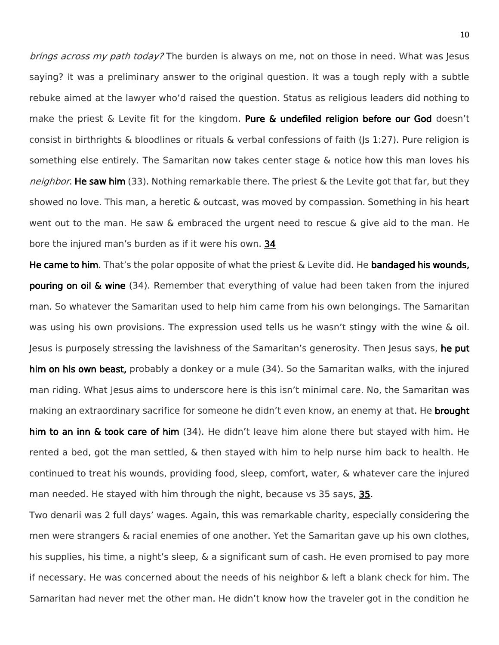brings across my path today? The burden is always on me, not on those in need. What was Jesus saying? It was a preliminary answer to the original question. It was a tough reply with a subtle rebuke aimed at the lawyer who'd raised the question. Status as religious leaders did nothing to make the priest & Levite fit for the kingdom. Pure & undefiled religion before our God doesn't consist in birthrights & bloodlines or rituals & verbal confessions of faith (Js 1:27). Pure religion is something else entirely. The Samaritan now takes center stage & notice how this man loves his neighbor. He saw him (33). Nothing remarkable there. The priest & the Levite got that far, but they showed no love. This man, a heretic & outcast, was moved by compassion. Something in his heart went out to the man. He saw & embraced the urgent need to rescue & give aid to the man. He bore the injured man's burden as if it were his own. 34

He came to him. That's the polar opposite of what the priest  $\&$  Levite did. He bandaged his wounds, **pouring on oil & wine** (34). Remember that everything of value had been taken from the injured man. So whatever the Samaritan used to help him came from his own belongings. The Samaritan was using his own provisions. The expression used tells us he wasn't stingy with the wine & oil. Jesus is purposely stressing the lavishness of the Samaritan's generosity. Then Jesus says, he put him on his own beast, probably a donkey or a mule (34). So the Samaritan walks, with the injured man riding. What Jesus aims to underscore here is this isn't minimal care. No, the Samaritan was making an extraordinary sacrifice for someone he didn't even know, an enemy at that. He **brought** him to an inn & took care of him (34). He didn't leave him alone there but stayed with him. He rented a bed, got the man settled, & then stayed with him to help nurse him back to health. He continued to treat his wounds, providing food, sleep, comfort, water, & whatever care the injured man needed. He stayed with him through the night, because vs 35 says, 35.

Two denarii was 2 full days' wages. Again, this was remarkable charity, especially considering the men were strangers & racial enemies of one another. Yet the Samaritan gave up his own clothes, his supplies, his time, a night's sleep, & a significant sum of cash. He even promised to pay more if necessary. He was concerned about the needs of his neighbor & left a blank check for him. The Samaritan had never met the other man. He didn't know how the traveler got in the condition he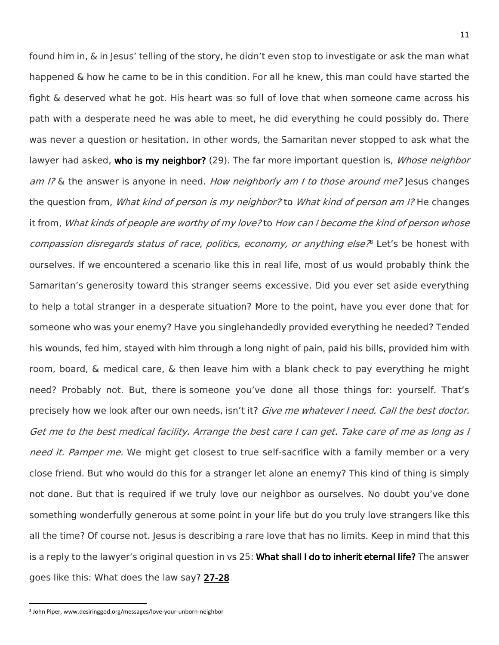found him in, & in Jesus' telling of the story, he didn't even stop to investigate or ask the man what happened & how he came to be in this condition. For all he knew, this man could have started the fight & deserved what he got. His heart was so full of love that when someone came across his path with a desperate need he was able to meet, he did everything he could possibly do. There was never a question or hesitation. In other words, the Samaritan never stopped to ask what the lawyer had asked, who is my neighbor? (29). The far more important question is, Whose neighbor am I? & the answer is anyone in need. How neighborly am I to those around me? Jesus changes the question from, *What kind of person is my neighbor?* to *What kind of person am I?* He changes it from, What kinds of people are worthy of my love? to How can I become the kind of person whose compassion disregards status of race, politics, economy, or anything else<sup>ne</sup> Let's be honest with ourselves. If we encountered a scenario like this in real life, most of us would probably think the Samaritan's generosity toward this stranger seems excessive. Did you ever set aside everything to help a total stranger in a desperate situation? More to the point, have you ever done that for someone who was your enemy? Have you singlehandedly provided everything he needed? Tended his wounds, fed him, stayed with him through a long night of pain, paid his bills, provided him with room, board, & medical care, & then leave him with a blank check to pay everything he might need? Probably not. But, there is someone you've done all those things for: yourself. That's precisely how we look after our own needs, isn't it? Give me whatever I need. Call the best doctor. Get me to the best medical facility. Arrange the best care I can get. Take care of me as long as I need it. Pamper me. We might get closest to true self-sacrifice with a family member or a very close friend. But who would do this for a stranger let alone an enemy? This kind of thing is simply not done. But that is required if we truly love our neighbor as ourselves. No doubt you've done something wonderfully generous at some point in your life but do you truly love strangers like this all the time? Of course not. Jesus is describing a rare love that has no limits. Keep in mind that this is a reply to the lawyer's original question in vs 25: What shall I do to inherit eternal life? The answer goes like this: What does the law say? 27-28

l

<sup>8</sup> John Piper, www.desiringgod.org/messages/love-your-unborn-neighbor